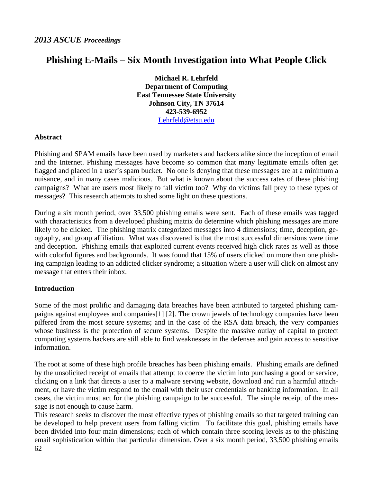# **Phishing E-Mails – Six Month Investigation into What People Click**

**Michael R. Lehrfeld Department of Computing East Tennessee State University Johnson City, TN 37614 423-539-6952**  Lehrfeld@etsu.edu

### **Abstract**

Phishing and SPAM emails have been used by marketers and hackers alike since the inception of email and the Internet. Phishing messages have become so common that many legitimate emails often get flagged and placed in a user's spam bucket. No one is denying that these messages are at a minimum a nuisance, and in many cases malicious. But what is known about the success rates of these phishing campaigns? What are users most likely to fall victim too? Why do victims fall prey to these types of messages? This research attempts to shed some light on these questions.

During a six month period, over 33,500 phishing emails were sent. Each of these emails was tagged with characteristics from a developed phishing matrix do determine which phishing messages are more likely to be clicked. The phishing matrix categorized messages into 4 dimensions; time, deception, geography, and group affiliation. What was discovered is that the most successful dimensions were time and deception. Phishing emails that exploited current events received high click rates as well as those with colorful figures and backgrounds. It was found that 15% of users clicked on more than one phishing campaign leading to an addicted clicker syndrome; a situation where a user will click on almost any message that enters their inbox.

## **Introduction**

Some of the most prolific and damaging data breaches have been attributed to targeted phishing campaigns against employees and companies[1] [2]. The crown jewels of technology companies have been pilfered from the most secure systems; and in the case of the RSA data breach, the very companies whose business is the protection of secure systems. Despite the massive outlay of capital to protect computing systems hackers are still able to find weaknesses in the defenses and gain access to sensitive information.

The root at some of these high profile breaches has been phishing emails. Phishing emails are defined by the unsolicited receipt of emails that attempt to coerce the victim into purchasing a good or service, clicking on a link that directs a user to a malware serving website, download and run a harmful attachment, or have the victim respond to the email with their user credentials or banking information. In all cases, the victim must act for the phishing campaign to be successful. The simple receipt of the message is not enough to cause harm.

62 This research seeks to discover the most effective types of phishing emails so that targeted training can be developed to help prevent users from falling victim. To facilitate this goal, phishing emails have been divided into four main dimensions; each of which contain three scoring levels as to the phishing email sophistication within that particular dimension. Over a six month period, 33,500 phishing emails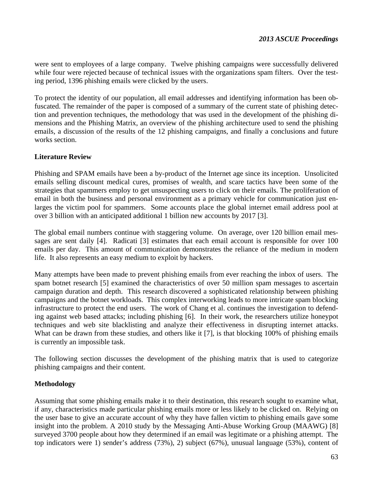were sent to employees of a large company. Twelve phishing campaigns were successfully delivered while four were rejected because of technical issues with the organizations spam filters. Over the testing period, 1396 phishing emails were clicked by the users.

To protect the identity of our population, all email addresses and identifying information has been obfuscated. The remainder of the paper is composed of a summary of the current state of phishing detection and prevention techniques, the methodology that was used in the development of the phishing dimensions and the Phishing Matrix, an overview of the phishing architecture used to send the phishing emails, a discussion of the results of the 12 phishing campaigns, and finally a conclusions and future works section.

## **Literature Review**

Phishing and SPAM emails have been a by-product of the Internet age since its inception. Unsolicited emails selling discount medical cures, promises of wealth, and scare tactics have been some of the strategies that spammers employ to get unsuspecting users to click on their emails. The proliferation of email in both the business and personal environment as a primary vehicle for communication just enlarges the victim pool for spammers. Some accounts place the global internet email address pool at over 3 billion with an anticipated additional 1 billion new accounts by 2017 [3].

The global email numbers continue with staggering volume. On average, over 120 billion email messages are sent daily [4]. Radicati [3] estimates that each email account is responsible for over 100 emails per day. This amount of communication demonstrates the reliance of the medium in modern life. It also represents an easy medium to exploit by hackers.

Many attempts have been made to prevent phishing emails from ever reaching the inbox of users. The spam botnet research [5] examined the characteristics of over 50 million spam messages to ascertain campaign duration and depth. This research discovered a sophisticated relationship between phishing campaigns and the botnet workloads. This complex interworking leads to more intricate spam blocking infrastructure to protect the end users. The work of Chang et al. continues the investigation to defending against web based attacks; including phishing [6]. In their work, the researchers utilize honeypot techniques and web site blacklisting and analyze their effectiveness in disrupting internet attacks. What can be drawn from these studies, and others like it [7], is that blocking 100% of phishing emails is currently an impossible task.

The following section discusses the development of the phishing matrix that is used to categorize phishing campaigns and their content.

## **Methodology**

Assuming that some phishing emails make it to their destination, this research sought to examine what, if any, characteristics made particular phishing emails more or less likely to be clicked on. Relying on the user base to give an accurate account of why they have fallen victim to phishing emails gave some insight into the problem. A 2010 study by the Messaging Anti-Abuse Working Group (MAAWG) [8] surveyed 3700 people about how they determined if an email was legitimate or a phishing attempt. The top indicators were 1) sender's address (73%), 2) subject (67%), unusual language (53%), content of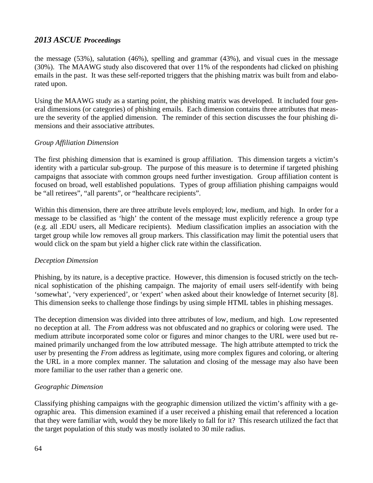the message (53%), salutation (46%), spelling and grammar (43%), and visual cues in the message (30%). The MAAWG study also discovered that over 11% of the respondents had clicked on phishing emails in the past. It was these self-reported triggers that the phishing matrix was built from and elaborated upon.

Using the MAAWG study as a starting point, the phishing matrix was developed. It included four general dimensions (or categories) of phishing emails. Each dimension contains three attributes that measure the severity of the applied dimension. The reminder of this section discusses the four phishing dimensions and their associative attributes.

### *Group Affiliation Dimension*

The first phishing dimension that is examined is group affiliation. This dimension targets a victim's identity with a particular sub-group. The purpose of this measure is to determine if targeted phishing campaigns that associate with common groups need further investigation. Group affiliation content is focused on broad, well established populations. Types of group affiliation phishing campaigns would be "all retirees", "all parents", or "healthcare recipients".

Within this dimension, there are three attribute levels employed; low, medium, and high. In order for a message to be classified as 'high' the content of the message must explicitly reference a group type (e.g. all .EDU users, all Medicare recipients). Medium classification implies an association with the target group while low removes all group markers. This classification may limit the potential users that would click on the spam but yield a higher click rate within the classification.

### *Deception Dimension*

Phishing, by its nature, is a deceptive practice. However, this dimension is focused strictly on the technical sophistication of the phishing campaign. The majority of email users self-identify with being 'somewhat', 'very experienced', or 'expert' when asked about their knowledge of Internet security [8]. This dimension seeks to challenge those findings by using simple HTML tables in phishing messages.

The deception dimension was divided into three attributes of low, medium, and high. Low represented no deception at all. The *From* address was not obfuscated and no graphics or coloring were used. The medium attribute incorporated some color or figures and minor changes to the URL were used but remained primarily unchanged from the low attributed message. The high attribute attempted to trick the user by presenting the *From* address as legitimate, using more complex figures and coloring, or altering the URL in a more complex manner. The salutation and closing of the message may also have been more familiar to the user rather than a generic one.

### *Geographic Dimension*

Classifying phishing campaigns with the geographic dimension utilized the victim's affinity with a geographic area. This dimension examined if a user received a phishing email that referenced a location that they were familiar with, would they be more likely to fall for it? This research utilized the fact that the target population of this study was mostly isolated to 30 mile radius.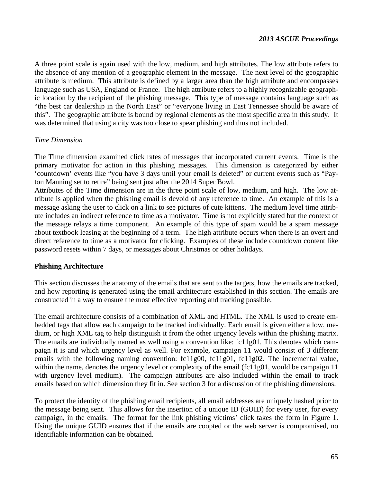A three point scale is again used with the low, medium, and high attributes. The low attribute refers to the absence of any mention of a geographic element in the message. The next level of the geographic attribute is medium. This attribute is defined by a larger area than the high attribute and encompasses language such as USA, England or France. The high attribute refers to a highly recognizable geographic location by the recipient of the phishing message. This type of message contains language such as "the best car dealership in the North East" or "everyone living in East Tennessee should be aware of this". The geographic attribute is bound by regional elements as the most specific area in this study. It was determined that using a city was too close to spear phishing and thus not included.

#### *Time Dimension*

The Time dimension examined click rates of messages that incorporated current events. Time is the primary motivator for action in this phishing messages. This dimension is categorized by either 'countdown' events like "you have 3 days until your email is deleted" or current events such as "Payton Manning set to retire" being sent just after the 2014 Super Bowl.

Attributes of the Time dimension are in the three point scale of low, medium, and high. The low attribute is applied when the phishing email is devoid of any reference to time. An example of this is a message asking the user to click on a link to see pictures of cute kittens. The medium level time attribute includes an indirect reference to time as a motivator. Time is not explicitly stated but the context of the message relays a time component. An example of this type of spam would be a spam message about textbook leasing at the beginning of a term. The high attribute occurs when there is an overt and direct reference to time as a motivator for clicking. Examples of these include countdown content like password resets within 7 days, or messages about Christmas or other holidays.

### **Phishing Architecture**

This section discusses the anatomy of the emails that are sent to the targets, how the emails are tracked, and how reporting is generated using the email architecture established in this section. The emails are constructed in a way to ensure the most effective reporting and tracking possible.

The email architecture consists of a combination of XML and HTML. The XML is used to create embedded tags that allow each campaign to be tracked individually. Each email is given either a low, medium, or high XML tag to help distinguish it from the other urgency levels within the phishing matrix. The emails are individually named as well using a convention like: fc11g01. This denotes which campaign it is and which urgency level as well. For example, campaign 11 would consist of 3 different emails with the following naming convention: fc11g00, fc11g01, fc11g02. The incremental value, within the name, denotes the urgency level or complexity of the email (fc11g01, would be campaign 11 with urgency level medium). The campaign attributes are also included within the email to track emails based on which dimension they fit in. See section 3 for a discussion of the phishing dimensions.

To protect the identity of the phishing email recipients, all email addresses are uniquely hashed prior to the message being sent. This allows for the insertion of a unique ID (GUID) for every user, for every campaign, in the emails. The format for the link phishing victims' click takes the form in Figure 1. Using the unique GUID ensures that if the emails are coopted or the web server is compromised, no identifiable information can be obtained.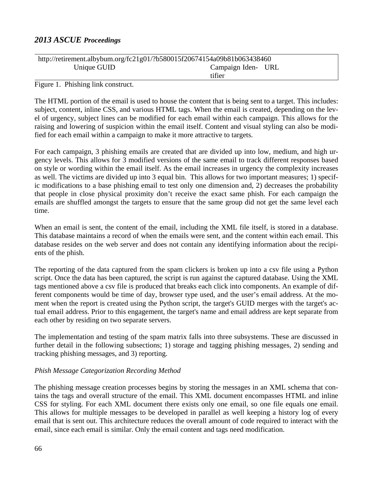| http://retirement.albybum.org/fc21g01/?b580015f20674154a09b81b063438460 |                    |  |  |  |  |
|-------------------------------------------------------------------------|--------------------|--|--|--|--|
| Unique GUID                                                             | Campaign Iden- URL |  |  |  |  |
|                                                                         | tifier             |  |  |  |  |

Figure 1. Phishing link construct.

The HTML portion of the email is used to house the content that is being sent to a target. This includes: subject, content, inline CSS, and various HTML tags. When the email is created, depending on the level of urgency, subject lines can be modified for each email within each campaign. This allows for the raising and lowering of suspicion within the email itself. Content and visual styling can also be modified for each email within a campaign to make it more attractive to targets.

For each campaign, 3 phishing emails are created that are divided up into low, medium, and high urgency levels. This allows for 3 modified versions of the same email to track different responses based on style or wording within the email itself. As the email increases in urgency the complexity increases as well. The victims are divided up into 3 equal bin. This allows for two important measures; 1) specific modifications to a base phishing email to test only one dimension and, 2) decreases the probability that people in close physical proximity don't receive the exact same phish. For each campaign the emails are shuffled amongst the targets to ensure that the same group did not get the same level each time.

When an email is sent, the content of the email, including the XML file itself, is stored in a database. This database maintains a record of when the emails were sent, and the content within each email. This database resides on the web server and does not contain any identifying information about the recipients of the phish.

The reporting of the data captured from the spam clickers is broken up into a csv file using a Python script. Once the data has been captured, the script is run against the captured database. Using the XML tags mentioned above a csv file is produced that breaks each click into components. An example of different components would be time of day, browser type used, and the user's email address. At the moment when the report is created using the Python script, the target's GUID merges with the target's actual email address. Prior to this engagement, the target's name and email address are kept separate from each other by residing on two separate servers.

The implementation and testing of the spam matrix falls into three subsystems. These are discussed in further detail in the following subsections; 1) storage and tagging phishing messages, 2) sending and tracking phishing messages, and 3) reporting.

## *Phish Message Categorization Recording Method*

The phishing message creation processes begins by storing the messages in an XML schema that contains the tags and overall structure of the email. This XML document encompasses HTML and inline CSS for styling. For each XML document there exists only one email, so one file equals one email. This allows for multiple messages to be developed in parallel as well keeping a history log of every email that is sent out. This architecture reduces the overall amount of code required to interact with the email, since each email is similar. Only the email content and tags need modification.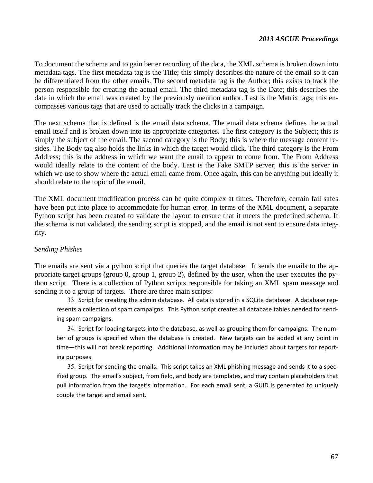To document the schema and to gain better recording of the data, the XML schema is broken down into metadata tags. The first metadata tag is the Title; this simply describes the nature of the email so it can be differentiated from the other emails. The second metadata tag is the Author; this exists to track the person responsible for creating the actual email. The third metadata tag is the Date; this describes the date in which the email was created by the previously mention author. Last is the Matrix tags; this encompasses various tags that are used to actually track the clicks in a campaign.

The next schema that is defined is the email data schema. The email data schema defines the actual email itself and is broken down into its appropriate categories. The first category is the Subject; this is simply the subject of the email. The second category is the Body; this is where the message content resides. The Body tag also holds the links in which the target would click. The third category is the From Address; this is the address in which we want the email to appear to come from. The From Address would ideally relate to the content of the body. Last is the Fake SMTP server; this is the server in which we use to show where the actual email came from. Once again, this can be anything but ideally it should relate to the topic of the email.

The XML document modification process can be quite complex at times. Therefore, certain fail safes have been put into place to accommodate for human error. In terms of the XML document, a separate Python script has been created to validate the layout to ensure that it meets the predefined schema. If the schema is not validated, the sending script is stopped, and the email is not sent to ensure data integrity.

### *Sending Phishes*

The emails are sent via a python script that queries the target database. It sends the emails to the appropriate target groups (group 0, group 1, group 2), defined by the user, when the user executes the python script. There is a collection of Python scripts responsible for taking an XML spam message and sending it to a group of targets. There are three main scripts:

33. Script for creating the admin database. All data is stored in a SQLite database. A database represents a collection of spam campaigns. This Python script creates all database tables needed for send‐ ing spam campaigns.

34. Script for loading targets into the database, as well as grouping them for campaigns. The number of groups is specified when the database is created. New targets can be added at any point in time—this will not break reporting. Additional information may be included about targets for reporting purposes.

35. Script for sending the emails. This script takes an XML phishing message and sends it to a specified group. The email's subject, from field, and body are templates, and may contain placeholders that pull information from the target's information. For each email sent, a GUID is generated to uniquely couple the target and email sent.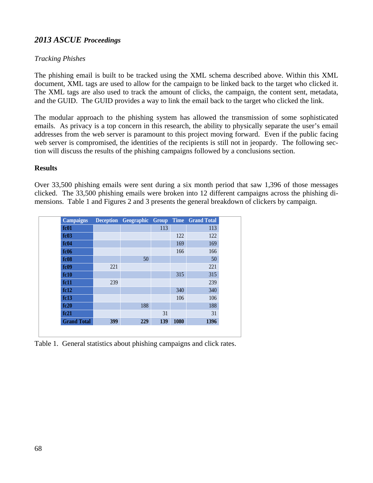## *Tracking Phishes*

The phishing email is built to be tracked using the XML schema described above. Within this XML document, XML tags are used to allow for the campaign to be linked back to the target who clicked it. The XML tags are also used to track the amount of clicks, the campaign, the content sent, metadata, and the GUID. The GUID provides a way to link the email back to the target who clicked the link.

The modular approach to the phishing system has allowed the transmission of some sophisticated emails. As privacy is a top concern in this research, the ability to physically separate the user's email addresses from the web server is paramount to this project moving forward. Even if the public facing web server is compromised, the identities of the recipients is still not in jeopardy. The following section will discuss the results of the phishing campaigns followed by a conclusions section.

## **Results**

Over 33,500 phishing emails were sent during a six month period that saw 1,396 of those messages clicked. The 33,500 phishing emails were broken into 12 different campaigns across the phishing dimensions. Table 1 and Figures 2 and 3 presents the general breakdown of clickers by campaign.

| <b>Campaigns</b>   |     | Deception Geographic Group |     |      | <b>Time</b> Grand Total |
|--------------------|-----|----------------------------|-----|------|-------------------------|
| fc01               |     |                            | 113 |      | 113                     |
| fc03               |     |                            |     | 122  | 122                     |
| fc04               |     |                            |     | 169  | 169                     |
| fc06               |     |                            |     | 166  | 166                     |
| fc08               |     | 50                         |     |      | 50                      |
| fc09               | 221 |                            |     |      | 221                     |
| fc10               |     |                            |     | 315  | 315                     |
| fc11               | 239 |                            |     |      | 239                     |
| fc12               |     |                            |     | 340  | 340                     |
| fc13               |     |                            |     | 106  | 106                     |
| fc20               |     | 188                        |     |      | 188                     |
| fc21               |     |                            | 31  |      | 31                      |
| <b>Grand Total</b> | 399 | 229                        | 139 | 1080 | 1396                    |

Table 1. General statistics about phishing campaigns and click rates.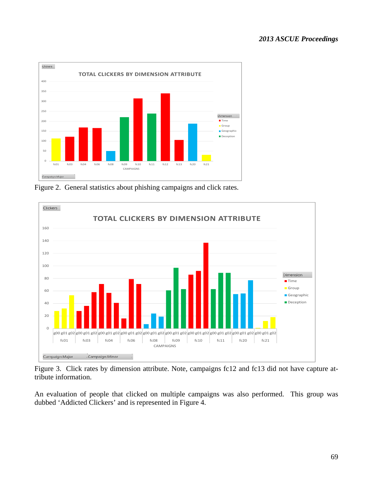

Figure 2. General statistics about phishing campaigns and click rates.



Figure 3. Click rates by dimension attribute. Note, campaigns fc12 and fc13 did not have capture attribute information.

An evaluation of people that clicked on multiple campaigns was also performed. This group was dubbed 'Addicted Clickers' and is represented in Figure 4.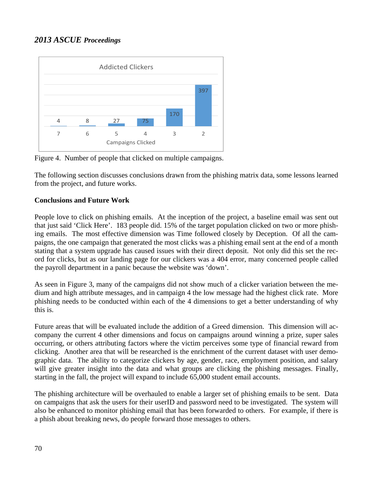

Figure 4. Number of people that clicked on multiple campaigns.

The following section discusses conclusions drawn from the phishing matrix data, some lessons learned from the project, and future works.

## **Conclusions and Future Work**

People love to click on phishing emails. At the inception of the project, a baseline email was sent out that just said 'Click Here'. 183 people did. 15% of the target population clicked on two or more phishing emails. The most effective dimension was Time followed closely by Deception. Of all the campaigns, the one campaign that generated the most clicks was a phishing email sent at the end of a month stating that a system upgrade has caused issues with their direct deposit. Not only did this set the record for clicks, but as our landing page for our clickers was a 404 error, many concerned people called the payroll department in a panic because the website was 'down'.

As seen in Figure 3, many of the campaigns did not show much of a clicker variation between the medium and high attribute messages, and in campaign 4 the low message had the highest click rate. More phishing needs to be conducted within each of the 4 dimensions to get a better understanding of why this is.

Future areas that will be evaluated include the addition of a Greed dimension. This dimension will accompany the current 4 other dimensions and focus on campaigns around winning a prize, super sales occurring, or others attributing factors where the victim perceives some type of financial reward from clicking. Another area that will be researched is the enrichment of the current dataset with user demographic data. The ability to categorize clickers by age, gender, race, employment position, and salary will give greater insight into the data and what groups are clicking the phishing messages. Finally, starting in the fall, the project will expand to include 65,000 student email accounts.

The phishing architecture will be overhauled to enable a larger set of phishing emails to be sent. Data on campaigns that ask the users for their userID and password need to be investigated. The system will also be enhanced to monitor phishing email that has been forwarded to others. For example, if there is a phish about breaking news, do people forward those messages to others.